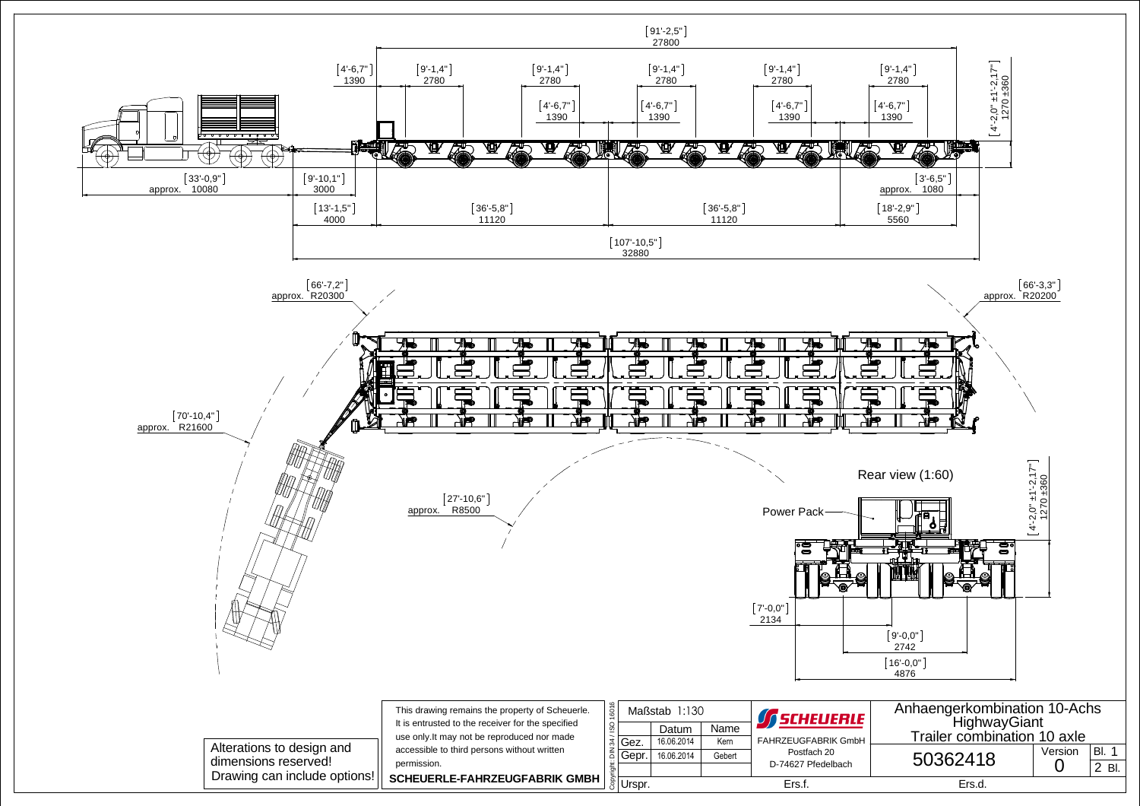